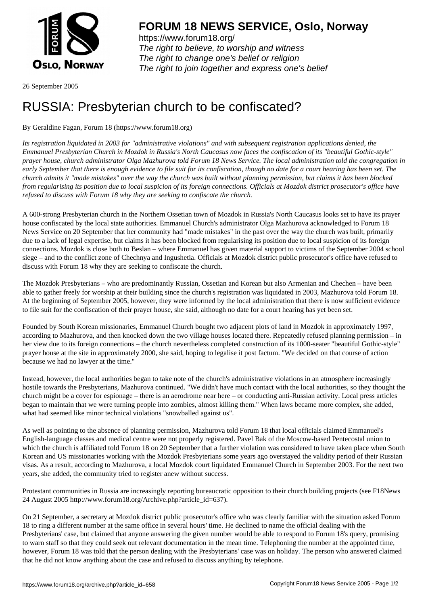

https://www.forum18.org/ The right to believe, to worship and witness The right to change one's belief or religion [The right to join together a](https://www.forum18.org/)nd express one's belief

26 September 2005

## [RUSSIA: Presb](https://www.forum18.org)yterian church to be confiscated?

## By Geraldine Fagan, Forum 18 (https://www.forum18.org)

*Its registration liquidated in 2003 for "administrative violations" and with subsequent registration applications denied, the Emmanuel Presbyterian Church in Mozdok in Russia's North Caucasus now faces the confiscation of its "beautiful Gothic-style" prayer house, church administrator Olga Mazhurova told Forum 18 News Service. The local administration told the congregation in early September that there is enough evidence to file suit for its confiscation, though no date for a court hearing has been set. The church admits it "made mistakes" over the way the church was built without planning permission, but claims it has been blocked from regularising its position due to local suspicion of its foreign connections. Officials at Mozdok district prosecutor's office have refused to discuss with Forum 18 why they are seeking to confiscate the church.*

A 600-strong Presbyterian church in the Northern Ossetian town of Mozdok in Russia's North Caucasus looks set to have its prayer house confiscated by the local state authorities. Emmanuel Church's administrator Olga Mazhurova acknowledged to Forum 18 News Service on 20 September that her community had "made mistakes" in the past over the way the church was built, primarily due to a lack of legal expertise, but claims it has been blocked from regularising its position due to local suspicion of its foreign connections. Mozdok is close both to Beslan – where Emmanuel has given material support to victims of the September 2004 school siege – and to the conflict zone of Chechnya and Ingushetia. Officials at Mozdok district public prosecutor's office have refused to discuss with Forum 18 why they are seeking to confiscate the church.

The Mozdok Presbyterians – who are predominantly Russian, Ossetian and Korean but also Armenian and Chechen – have been able to gather freely for worship at their building since the church's registration was liquidated in 2003, Mazhurova told Forum 18. At the beginning of September 2005, however, they were informed by the local administration that there is now sufficient evidence to file suit for the confiscation of their prayer house, she said, although no date for a court hearing has yet been set.

Founded by South Korean missionaries, Emmanuel Church bought two adjacent plots of land in Mozdok in approximately 1997, according to Mazhurova, and then knocked down the two village houses located there. Repeatedly refused planning permission – in her view due to its foreign connections – the church nevertheless completed construction of its 1000-seater "beautiful Gothic-style" prayer house at the site in approximately 2000, she said, hoping to legalise it post factum. "We decided on that course of action because we had no lawyer at the time."

Instead, however, the local authorities began to take note of the church's administrative violations in an atmosphere increasingly hostile towards the Presbyterians, Mazhurova continued. "We didn't have much contact with the local authorities, so they thought the church might be a cover for espionage – there is an aerodrome near here – or conducting anti-Russian activity. Local press articles began to maintain that we were turning people into zombies, almost killing them." When laws became more complex, she added, what had seemed like minor technical violations "snowballed against us".

As well as pointing to the absence of planning permission, Mazhurova told Forum 18 that local officials claimed Emmanuel's English-language classes and medical centre were not properly registered. Pavel Bak of the Moscow-based Pentecostal union to which the church is affiliated told Forum 18 on 20 September that a further violation was considered to have taken place when South Korean and US missionaries working with the Mozdok Presbyterians some years ago overstayed the validity period of their Russian visas. As a result, according to Mazhurova, a local Mozdok court liquidated Emmanuel Church in September 2003. For the next two years, she added, the community tried to register anew without success.

Protestant communities in Russia are increasingly reporting bureaucratic opposition to their church building projects (see F18News 24 August 2005 http://www.forum18.org/Archive.php?article\_id=637).

On 21 September, a secretary at Mozdok district public prosecutor's office who was clearly familiar with the situation asked Forum 18 to ring a different number at the same office in several hours' time. He declined to name the official dealing with the Presbyterians' case, but claimed that anyone answering the given number would be able to respond to Forum 18's query, promising to warn staff so that they could seek out relevant documentation in the mean time. Telephoning the number at the appointed time, however, Forum 18 was told that the person dealing with the Presbyterians' case was on holiday. The person who answered claimed that he did not know anything about the case and refused to discuss anything by telephone.